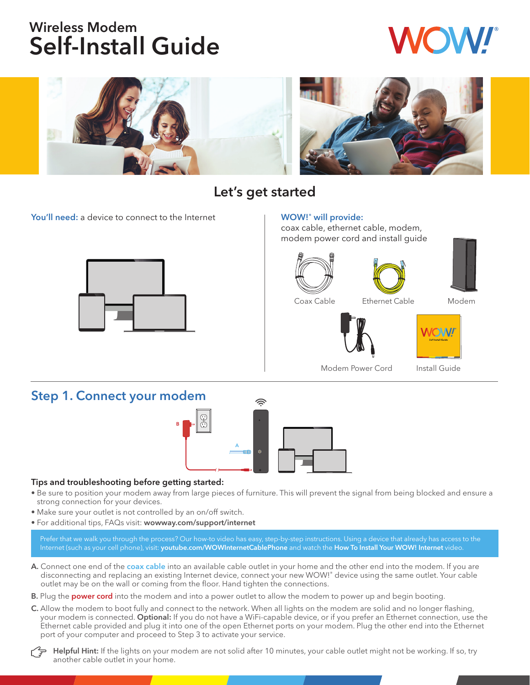# Wireless Modem Self-Install Guide



# Let's get started

You'll need: a device to connect to the Internet The WOW!' will provide:



coax cable, ethernet cable, modem, modem power cord and install guide







Coax Cable Ethernet Cable Modem





Modem Power Cord Install Guide

## Step 1. Connect your modem



#### Tips and troubleshooting before getting started:

- Be sure to position your modem away from large pieces of furniture. This will prevent the signal from being blocked and ensure a strong connection for your devices.
- Make sure your outlet is not controlled by an on/off switch.
- For additional tips, FAQs visit: wowway.com/support/internet

Prefer that we walk you through the process? Our how-to video has easy, step-by-step instructions. Using a device that already has access to the Internet (such as your cell phone), visit: youtube.com/WOWInternetCablePhone and watch the How To Install Your WOW! Internet video.

- A. Connect one end of the coax cable into an available cable outlet in your home and the other end into the modem. If you are disconnecting and replacing an existing Internet device, connect your new WOW!® device using the same outlet. Your cable outlet may be on the wall or coming from the floor. Hand tighten the connections.
- B. Plug the power cord into the modem and into a power outlet to allow the modem to power up and begin booting.
- C. Allow the modem to boot fully and connect to the network. When all lights on the modem are solid and no longer flashing, your modem is connected. Optional: If you do not have a WiFi-capable device, or if you prefer an Ethernet connection, use the Ethernet cable provided and plug it into one of the open Ethernet ports on your modem. Plug the other end into the Ethernet port of your computer and proceed to Step 3 to activate your service.

Helpful Hint: If the lights on your modem are not solid after 10 minutes, your cable outlet might not be working. If so, try another cable outlet in your home.